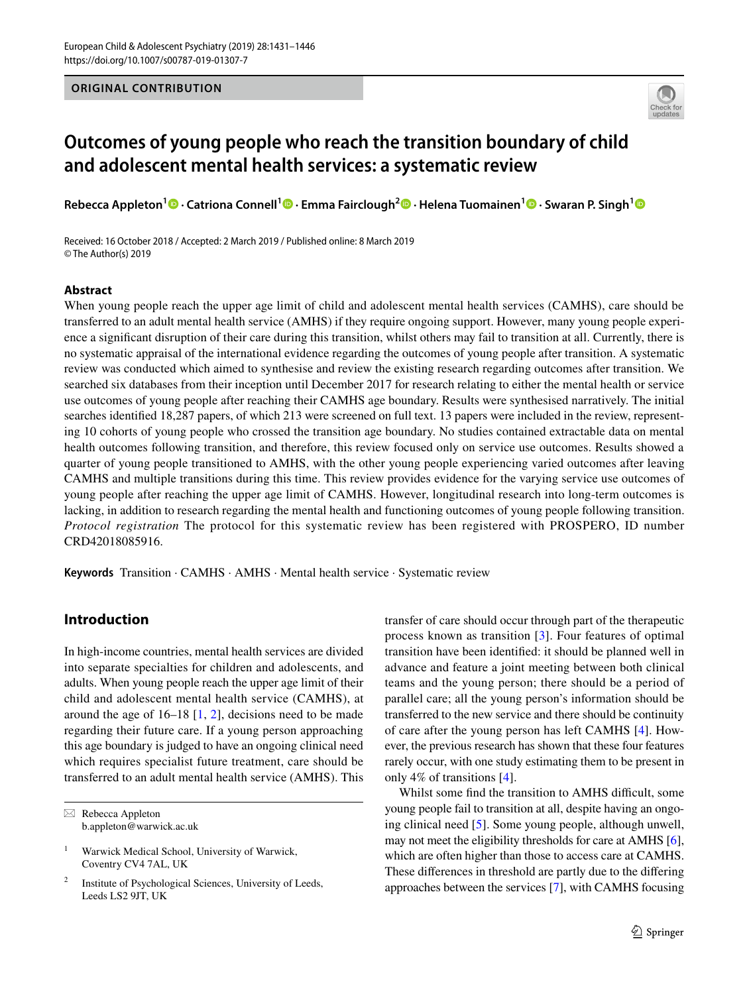## **ORIGINAL CONTRIBUTION**



# **Outcomes of young people who reach the transition boundary of child and adolescent mental health services: a systematic review**

**Rebecca Appleton1 · Catriona Connell1 · Emma Fairclough2 · Helena Tuomainen1  [·](http://orcid.org/0000-0003-1636-8187) Swaran P. Singh[1](http://orcid.org/0000-0003-3454-2089)**

Received: 16 October 2018 / Accepted: 2 March 2019 / Published online: 8 March 2019 © The Author(s) 2019

## **Abstract**

When young people reach the upper age limit of child and adolescent mental health services (CAMHS), care should be transferred to an adult mental health service (AMHS) if they require ongoing support. However, many young people experience a signifcant disruption of their care during this transition, whilst others may fail to transition at all. Currently, there is no systematic appraisal of the international evidence regarding the outcomes of young people after transition. A systematic review was conducted which aimed to synthesise and review the existing research regarding outcomes after transition. We searched six databases from their inception until December 2017 for research relating to either the mental health or service use outcomes of young people after reaching their CAMHS age boundary. Results were synthesised narratively. The initial searches identifed 18,287 papers, of which 213 were screened on full text. 13 papers were included in the review, representing 10 cohorts of young people who crossed the transition age boundary. No studies contained extractable data on mental health outcomes following transition, and therefore, this review focused only on service use outcomes. Results showed a quarter of young people transitioned to AMHS, with the other young people experiencing varied outcomes after leaving CAMHS and multiple transitions during this time. This review provides evidence for the varying service use outcomes of young people after reaching the upper age limit of CAMHS. However, longitudinal research into long-term outcomes is lacking, in addition to research regarding the mental health and functioning outcomes of young people following transition. *Protocol registration* The protocol for this systematic review has been registered with PROSPERO, ID number CRD42018085916.

**Keywords** Transition · CAMHS · AMHS · Mental health service · Systematic review

# **Introduction**

In high-income countries, mental health services are divided into separate specialties for children and adolescents, and adults. When young people reach the upper age limit of their child and adolescent mental health service (CAMHS), at around the age of  $16-18$  $16-18$  [1, [2\]](#page-14-1), decisions need to be made regarding their future care. If a young person approaching this age boundary is judged to have an ongoing clinical need which requires specialist future treatment, care should be transferred to an adult mental health service (AMHS). This

 $\boxtimes$  Rebecca Appleton b.appleton@warwick.ac.uk

<sup>1</sup> Warwick Medical School, University of Warwick, Coventry CV4 7AL, UK

Institute of Psychological Sciences, University of Leeds, Leeds LS2 9JT, UK

transfer of care should occur through part of the therapeutic process known as transition [[3\]](#page-14-2). Four features of optimal transition have been identifed: it should be planned well in advance and feature a joint meeting between both clinical teams and the young person; there should be a period of parallel care; all the young person's information should be transferred to the new service and there should be continuity of care after the young person has left CAMHS [[4\]](#page-14-3). However, the previous research has shown that these four features rarely occur, with one study estimating them to be present in only 4% of transitions [\[4](#page-14-3)].

Whilst some find the transition to AMHS difficult, some young people fail to transition at all, despite having an ongoing clinical need [[5\]](#page-14-4). Some young people, although unwell, may not meet the eligibility thresholds for care at AMHS [[6](#page-14-5)], which are often higher than those to access care at CAMHS. These diferences in threshold are partly due to the difering approaches between the services [\[7\]](#page-14-6), with CAMHS focusing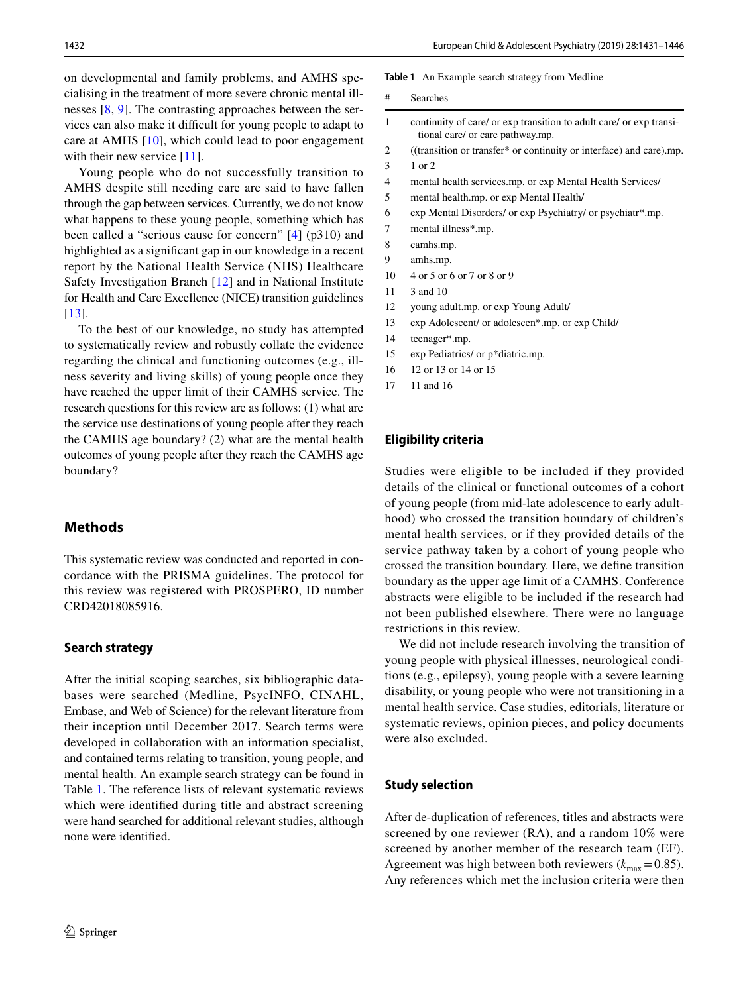on developmental and family problems, and AMHS specialising in the treatment of more severe chronic mental illnesses  $[8, 9]$  $[8, 9]$  $[8, 9]$ . The contrasting approaches between the se vices can also make it difficult for young people to adapt to care at AMHS  $[10]$ , which could lead to poor engagement with their new service [\[11](#page-14-10)].

Young people who do not successfully transition t AMHS despite still needing care are said to have falle through the gap between services. Currently, we do not know what happens to these young people, something which ha been called a "serious cause for concern"  $[4]$  $[4]$  $[4]$  (p310) and highlighted as a significant gap in our knowledge in a rece report by the National Health Service (NHS) Healthcar Safety Investigation Branch [[12](#page-14-11)] and in National Institute for Health and Care Excellence (NICE) transition guidelines [\[13\]](#page-14-12).

To the best of our knowledge, no study has attempted to systematically review and robustly collate the evidence regarding the clinical and functioning outcomes (e.g., illness severity and living skills) of young people once they have reached the upper limit of their CAMHS service. The research questions for this review are as follows: (1) what are the service use destinations of young people after they reach the CAMHS age boundary? (2) what are the mental health outcomes of young people after they reach the CAMHS age boundary?

# **Methods**

This systematic review was conducted and reported in concordance with the PRISMA guidelines. The protocol for this review was registered with PROSPERO, ID number CRD42018085916.

#### **Search strategy**

After the initial scoping searches, six bibliographic databases were searched (Medline, PsycINFO, CINAHL, Embase, and Web of Science) for the relevant literature from their inception until December 2017. Search terms were developed in collaboration with an information specialist, and contained terms relating to transition, young people, and mental health. An example search strategy can be found in Table [1.](#page-1-0) The reference lists of relevant systematic reviews which were identifed during title and abstract screening were hand searched for additional relevant studies, although none were identifed.

#### <span id="page-1-0"></span>**Table 1** An Example search strategy from Medline

| # | Searches                                                                                                |
|---|---------------------------------------------------------------------------------------------------------|
| 1 | continuity of care/ or exp transition to adult care/ or exp transi-<br>tional care/ or care pathway.mp. |
| 2 | ((transition or transfer* or continuity or interface) and care).mp.                                     |
| 3 | $1$ or $2$                                                                                              |
| 4 | mental health services.mp. or exp Mental Health Services/                                               |
| 5 | mental health.mp. or exp Mental Health/                                                                 |
| 6 | exp Mental Disorders/ or exp Psychiatry/ or psychiatr*.mp.                                              |
| 7 | mental illness*.mp.                                                                                     |
| 8 | camhs.mp.                                                                                               |
| 9 | amhs.mp.                                                                                                |
|   |                                                                                                         |

- 10 4 or 5 or 6 or 7 or 8 or 9
- 11 3 and 10
- 12 young adult.mp. or exp Young Adult/
- 13 exp Adolescent/ or adolescen\*.mp. or exp Child/
- 14 teenager\*.mp.
- 15 exp Pediatrics/ or p\*diatric.mp.
- 16 12 or 13 or 14 or 15
- 17 11 and 16

#### **Eligibility criteria**

Studies were eligible to be included if they provided details of the clinical or functional outcomes of a cohort of young people (from mid-late adolescence to early adulthood) who crossed the transition boundary of children's mental health services, or if they provided details of the service pathway taken by a cohort of young people who crossed the transition boundary. Here, we defne transition boundary as the upper age limit of a CAMHS. Conference abstracts were eligible to be included if the research had not been published elsewhere. There were no language restrictions in this review.

We did not include research involving the transition of young people with physical illnesses, neurological conditions (e.g., epilepsy), young people with a severe learning disability, or young people who were not transitioning in a mental health service. Case studies, editorials, literature or systematic reviews, opinion pieces, and policy documents were also excluded.

## **Study selection**

After de-duplication of references, titles and abstracts were screened by one reviewer (RA), and a random 10% were screened by another member of the research team (EF). Agreement was high between both reviewers  $(k_{\text{max}}=0.85)$ . Any references which met the inclusion criteria were then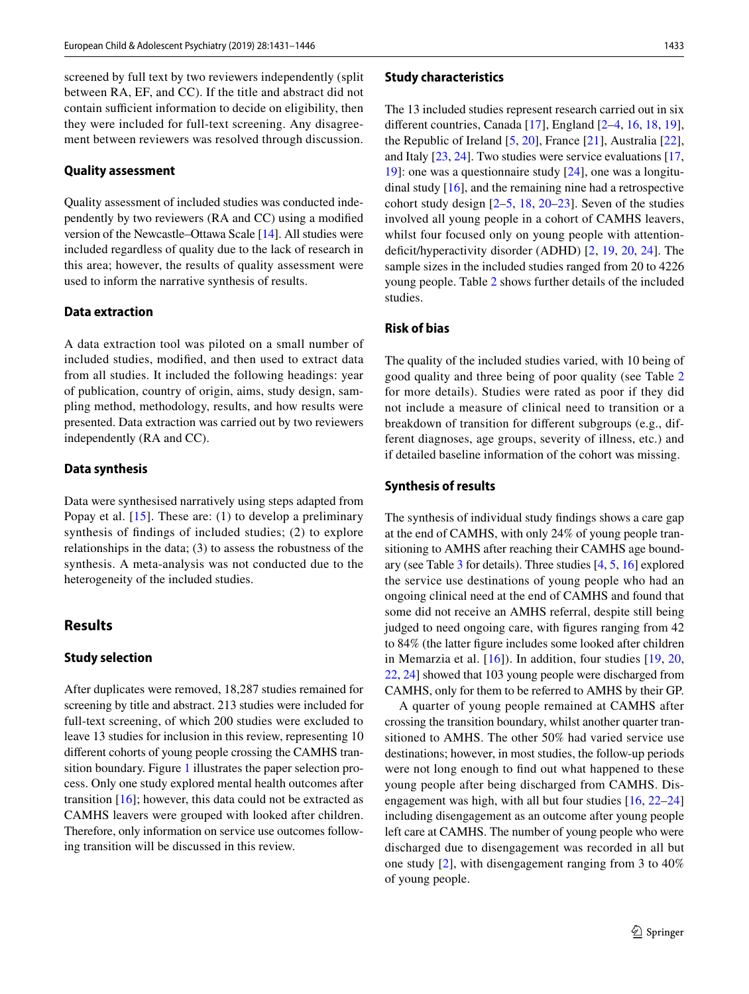screened by full text by two reviewers independently (split between RA, EF, and CC). If the title and abstract did not contain sufficient information to decide on eligibility, then they were included for full-text screening. Any disagreement between reviewers was resolved through discussion.

#### **Quality assessment**

Quality assessment of included studies was conducted independently by two reviewers (RA and CC) using a modifed version of the Newcastle–Ottawa Scale [\[14](#page-14-13)]. All studies were included regardless of quality due to the lack of research in this area; however, the results of quality assessment were used to inform the narrative synthesis of results.

#### **Data extraction**

A data extraction tool was piloted on a small number of included studies, modifed, and then used to extract data from all studies. It included the following headings: year of publication, country of origin, aims, study design, sampling method, methodology, results, and how results were presented. Data extraction was carried out by two reviewers independently (RA and CC).

#### **Data synthesis**

Data were synthesised narratively using steps adapted from Popay et al.  $[15]$ . These are: (1) to develop a preliminary synthesis of fndings of included studies; (2) to explore relationships in the data; (3) to assess the robustness of the synthesis. A meta-analysis was not conducted due to the heterogeneity of the included studies.

## **Results**

## **Study selection**

After duplicates were removed, 18,287 studies remained for screening by title and abstract. 213 studies were included for full-text screening, of which 200 studies were excluded to leave 13 studies for inclusion in this review, representing 10 diferent cohorts of young people crossing the CAMHS transition boundary. Figure [1](#page-3-0) illustrates the paper selection process. Only one study explored mental health outcomes after transition  $[16]$  $[16]$ ; however, this data could not be extracted as CAMHS leavers were grouped with looked after children. Therefore, only information on service use outcomes following transition will be discussed in this review.

#### **Study characteristics**

The 13 included studies represent research carried out in six diferent countries, Canada [[17\]](#page-15-0), England [\[2](#page-14-1)[–4,](#page-14-3) [16](#page-14-15), [18](#page-15-1), [19](#page-15-2)], the Republic of Ireland [\[5](#page-14-4), [20](#page-15-3)], France [\[21](#page-15-4)], Australia [\[22](#page-15-5)], and Italy [[23,](#page-15-6) [24](#page-15-7)]. Two studies were service evaluations [[17,](#page-15-0) [19](#page-15-2)]: one was a questionnaire study [[24\]](#page-15-7), one was a longitudinal study [\[16](#page-14-15)], and the remaining nine had a retrospective cohort study design [\[2–](#page-14-1)[5,](#page-14-4) [18](#page-15-1), [20–](#page-15-3)[23\]](#page-15-6). Seven of the studies involved all young people in a cohort of CAMHS leavers, whilst four focused only on young people with attentiondeficit/hyperactivity disorder (ADHD)  $[2, 19, 20, 24]$  $[2, 19, 20, 24]$  $[2, 19, 20, 24]$  $[2, 19, 20, 24]$  $[2, 19, 20, 24]$  $[2, 19, 20, 24]$  $[2, 19, 20, 24]$ . The sample sizes in the included studies ranged from 20 to 4226 young people. Table [2](#page-4-0) shows further details of the included studies.

## **Risk of bias**

The quality of the included studies varied, with 10 being of good quality and three being of poor quality (see Table [2](#page-4-0) for more details). Studies were rated as poor if they did not include a measure of clinical need to transition or a breakdown of transition for diferent subgroups (e.g., different diagnoses, age groups, severity of illness, etc.) and if detailed baseline information of the cohort was missing.

#### **Synthesis of results**

The synthesis of individual study fndings shows a care gap at the end of CAMHS, with only 24% of young people transitioning to AMHS after reaching their CAMHS age boundary (see Table [3](#page-11-0) for details). Three studies [\[4](#page-14-3), [5,](#page-14-4) [16](#page-14-15)] explored the service use destinations of young people who had an ongoing clinical need at the end of CAMHS and found that some did not receive an AMHS referral, despite still being judged to need ongoing care, with fgures ranging from 42 to 84% (the latter fgure includes some looked after children in Memarzia et al. [[16](#page-14-15)]). In addition, four studies [[19](#page-15-2), [20,](#page-15-3) [22](#page-15-5), [24\]](#page-15-7) showed that 103 young people were discharged from CAMHS, only for them to be referred to AMHS by their GP.

A quarter of young people remained at CAMHS after crossing the transition boundary, whilst another quarter transitioned to AMHS. The other 50% had varied service use destinations; however, in most studies, the follow-up periods were not long enough to fnd out what happened to these young people after being discharged from CAMHS. Disengagement was high, with all but four studies [\[16,](#page-14-15) [22–](#page-15-5)[24\]](#page-15-7) including disengagement as an outcome after young people left care at CAMHS. The number of young people who were discharged due to disengagement was recorded in all but one study [\[2](#page-14-1)], with disengagement ranging from 3 to 40% of young people.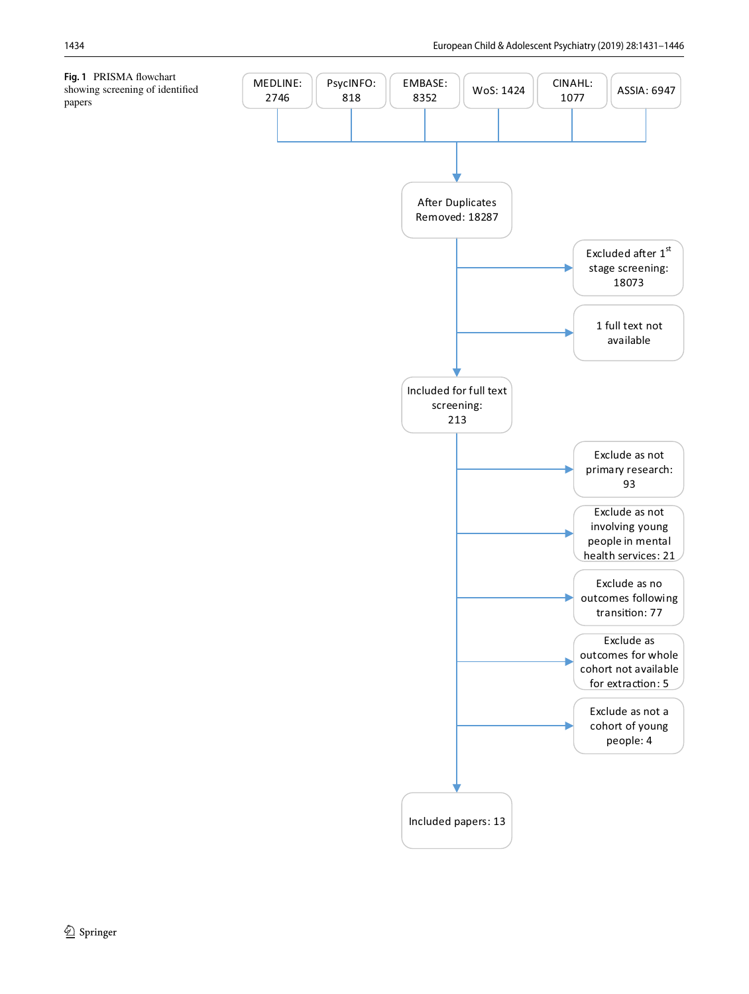<span id="page-3-0"></span>**Fig. 1** PRISMA fowchart showing screening of identifed papers

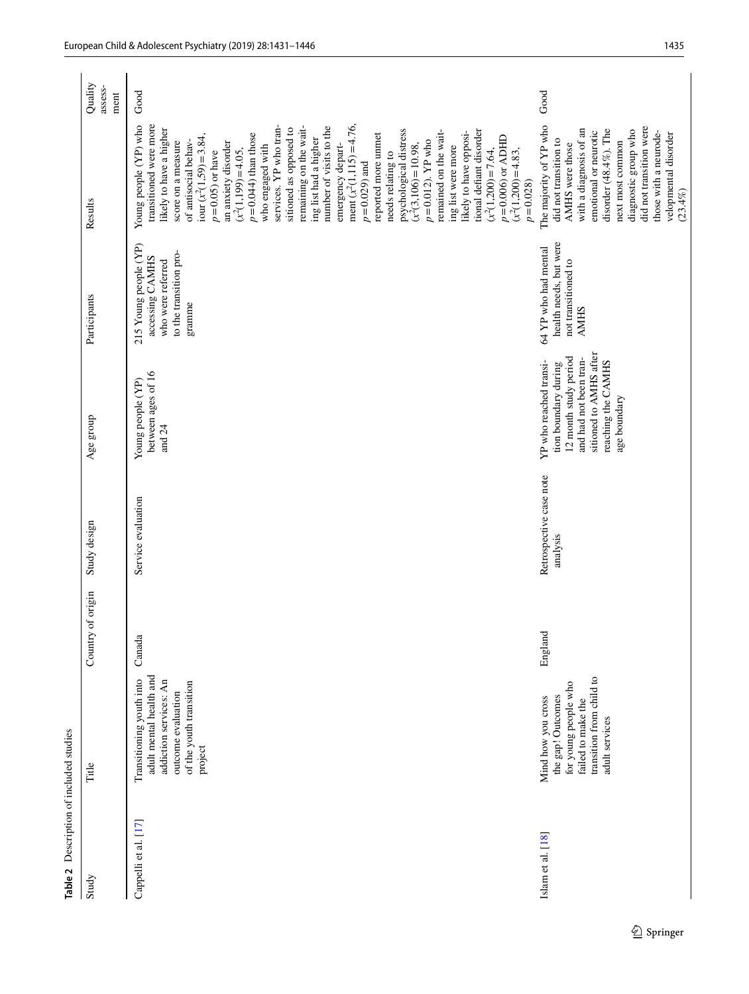<span id="page-4-0"></span>

| Table 2 Description of included studies |                                                                                                                                           |                      |                                     |                                                                                                                                                                   |                                                                                                   |                                                                                                                                                                                                                                                                                                                                                                                                                                                                                                                                                                                                                                                                                                                                                                                                               |                            |
|-----------------------------------------|-------------------------------------------------------------------------------------------------------------------------------------------|----------------------|-------------------------------------|-------------------------------------------------------------------------------------------------------------------------------------------------------------------|---------------------------------------------------------------------------------------------------|---------------------------------------------------------------------------------------------------------------------------------------------------------------------------------------------------------------------------------------------------------------------------------------------------------------------------------------------------------------------------------------------------------------------------------------------------------------------------------------------------------------------------------------------------------------------------------------------------------------------------------------------------------------------------------------------------------------------------------------------------------------------------------------------------------------|----------------------------|
| Study                                   | Title                                                                                                                                     | of origin<br>Country | Study design                        | Age group                                                                                                                                                         | Participants                                                                                      | Results                                                                                                                                                                                                                                                                                                                                                                                                                                                                                                                                                                                                                                                                                                                                                                                                       | Quality<br>assess-<br>ment |
| Cappelli et al. [17]                    | adult mental health and<br>Transitioning youth into<br>addiction services: An<br>of the youth transition<br>outcome evaluation<br>project | Canada               | Service evaluation                  | between ages of 16<br>Young people (YP)<br>and $24$                                                                                                               | 215 Young people (YP)<br>to the transition pro-<br>accessing CAMHS<br>who were referred<br>gramme | transitioned were more<br>ment $(x^2(1, 115) = 4.76$ ,<br>Young people (YP) who<br>services. YP who tran-<br>remaining on the wait-<br>number of visits to the<br>sitioned as opposed to<br>likely to have a higher<br>psychological distress<br>remained on the wait-<br>tional defiant disorder<br>likely to have opposi-<br>$p = 0.044$ ) than those<br>reported more unmet<br>iour $(x^2(1,59) = 3.84$ ,<br>$p = 0.006$ or ADHD<br>ing list had a higher<br>of antisocial behav-<br>$p = 0.012$ ). YP who<br>score on a measure<br>an anxiety disorder<br>emergency depart-<br>who engaged with<br>$(x^2(3, 106) = 10.98,$<br>ing list were more<br>$(x^2(1, 199) = 4.05,$<br>$(x^2(1,200)=7.64,$<br>$p = 0.05$ ) or have<br>$(x^2(1,200)=4.83,$<br>needs relating to<br>$p = 0.029$ ) and<br>$p = 0.028$ | Good                       |
| Islam et al. [18]                       | transition from child to<br>for young people who<br>the gap! Outcomes<br>Mind how you cross<br>failed to make the<br>adult services       | England              | Retrospective case note<br>analysis | sitioned to AMHS after<br>12 month study period<br>and had not been tran-<br>reaching the CAMHS<br>YP who reached transi-<br>tion boundary during<br>age boundary | health needs, but were<br>64 YP who had mental<br>not transitioned to<br><b>AMHS</b>              | The majority of YP who<br>did not transition were<br>disorder (48.4%). The<br>with a diagnosis of an<br>diagnostic group who<br>emotional or neurotic<br>those with a neurode-<br>velopmental disorder<br>did not transition to<br>next most common<br>AMHS were those<br>(23.4%)                                                                                                                                                                                                                                                                                                                                                                                                                                                                                                                             | Good                       |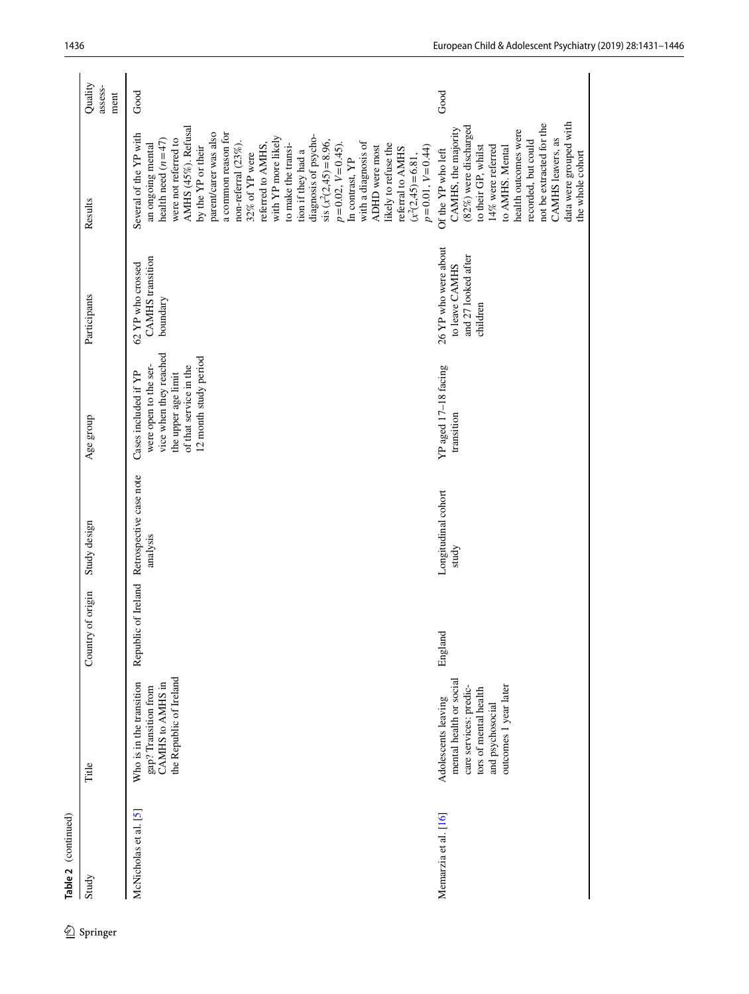|            | Table 2 (continued)   |                                                                                                                                                |                      |                                     |                                                                                                                                                   |                                                                           |                                                                                                                                                                                                                                                                                                                                                                                                                                                                                                                                                                      |                            |
|------------|-----------------------|------------------------------------------------------------------------------------------------------------------------------------------------|----------------------|-------------------------------------|---------------------------------------------------------------------------------------------------------------------------------------------------|---------------------------------------------------------------------------|----------------------------------------------------------------------------------------------------------------------------------------------------------------------------------------------------------------------------------------------------------------------------------------------------------------------------------------------------------------------------------------------------------------------------------------------------------------------------------------------------------------------------------------------------------------------|----------------------------|
| 2 Springer | Study                 | Title                                                                                                                                          | of origin<br>Country | Study design                        | Age group                                                                                                                                         | Participants                                                              | Results                                                                                                                                                                                                                                                                                                                                                                                                                                                                                                                                                              | Quality<br>assess-<br>ment |
|            | McNicholas et al. [5] | the Republic of Ireland<br>CAMHS to AMHS in<br>Who is in the transition<br>gap? Transition from                                                | Republic of Ireland  | Retrospective case note<br>analysis | vice when they reached<br>12 month study period<br>were open to the ser-<br>of that service in the<br>Cases included if YP<br>the upper age limit | <b>CAMHS</b> transition<br>62 YP who crossed<br>boundary                  | AMHS (45%). Refusal<br>parent/carer was also<br>Several of the YP with<br>a common reason for<br>diagnosis of psycho-<br>with YP more likely<br>were not referred to<br>health need $(n=47)$<br>sis $(x^2(2, 45) = 8.96$ ,<br>with a diagnosis of<br>non-referral $(23\%)$ .<br>likely to refuse the<br>an ongoing mental<br>referred to AMHS,<br>$p = 0.02, V = 0.45$ ).<br>to make the transi-<br>by the YP or their<br>ADHD were most<br>$p=0.01, V=0.44$<br>referral to AMHS<br>tion if they had a<br>32% of YP were<br>$(x^2(2, 45) = 6.81,$<br>In contrast, YP | Good                       |
|            | Memarzia et al. [16]  | mental health or social<br>outcomes 1 year later<br>care services: predic-<br>tors of mental health<br>Adolescents leaving<br>and psychosocial | England              | Longitudinal cohort<br>study        | YP aged 17-18 facing<br>transition                                                                                                                | 26 YP who were about<br>and 27 looked after<br>to leave CAMHS<br>children | data were grouped with<br>not be extracted for the<br>(82%) were discharged<br>CAMHS, the majority<br>health outcomes were<br>CAMHS leavers, as<br>recorded, but could<br>to AMHS. Mental<br>to their GP, whilst<br>14% were referred<br>Of the YP who left<br>the whole cohort                                                                                                                                                                                                                                                                                      | Good                       |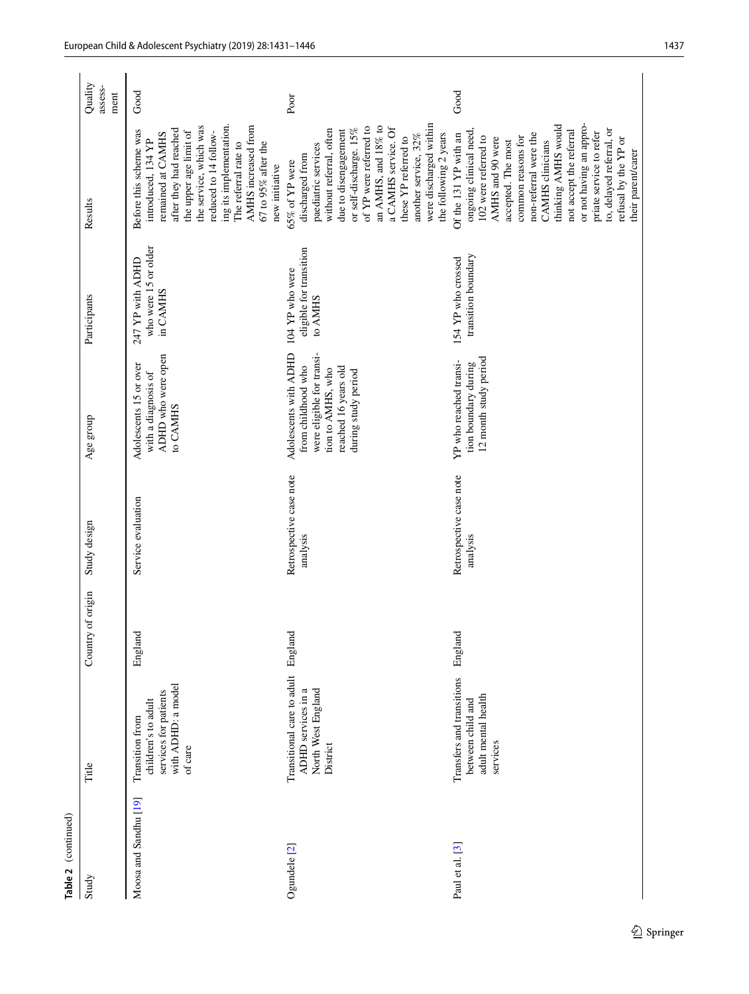| Table 2 (continued)              |                                                                                                         |                      |                                     |                                                                                                                                              |                                                       |                                                                                                                                                                                                                                                                                                                                                                               |                            |
|----------------------------------|---------------------------------------------------------------------------------------------------------|----------------------|-------------------------------------|----------------------------------------------------------------------------------------------------------------------------------------------|-------------------------------------------------------|-------------------------------------------------------------------------------------------------------------------------------------------------------------------------------------------------------------------------------------------------------------------------------------------------------------------------------------------------------------------------------|----------------------------|
| Study                            | Title                                                                                                   | of origin<br>Country | Study design                        | Age group                                                                                                                                    | Participants                                          | Results                                                                                                                                                                                                                                                                                                                                                                       | Quality<br>assess-<br>ment |
| Moosa and Sandhu <sup>[19]</sup> | with ADHD: a model<br>services for patients<br>children's to adult<br><b>Transition</b> from<br>of care | England              | Service evaluation                  | ADHD who were open<br>Adolescents 15 or over<br>with a diagnosis of<br>to CAMHS                                                              | who were 15 or older<br>247 YP with ADHD<br>in CAMHS  | ing its implementation.<br>AMHS increased from<br>the service, which was<br>after they had reached<br>the upper age limit of<br>Before this scheme was<br>reduced to 14 follow-<br>remained at CAMHS<br>introduced, 134 YP<br>$67$ to $95\%$ after the<br>The referral rate to<br>new initiative                                                                              | Good                       |
| Ogundele <sup>[2]</sup>          | Transitional care to adult<br>ADHD services in a<br>North West England<br>District                      | England              | Retrospective case note<br>analysis | were eligible for transi-<br>Adolescents with ADHD<br>from childhood who<br>reached 16 years old<br>tion to AMHS, who<br>during study period | eligible for transition<br>104 YP who were<br>to AMHS | were discharged within<br>of YP were referred to<br>an AMHS, and $18\%$ to<br>or self-discharge. 15%<br>without referral, often<br>a CAMHS service. Of<br>due to disengagement<br>the following 2 years<br>another service, 32%<br>these YP referred to<br>paediatric services<br>discharged from<br>65% of YP were                                                           | Poor                       |
| Paul et al. [3]                  | Transfers and transitions<br>adult mental health<br>between child and<br>services                       | England              | Retrospective case note<br>analysis | 12 month study period<br>YP who reached transi-<br>tion boundary during                                                                      | transition boundary<br>154 YP who crossed             | or not having an appro-<br>thinking AMHS would<br>to, delayed referral, or<br>not accept the referral<br>ongoing clinical need,<br>102 were referred to<br>priate service to refer<br>non-referral were the<br>Of the 131 YP with an<br>common reasons for<br>AMHS and 90 were<br>refusal by the YP or<br>accepted. The most<br><b>CAMHS</b> clinicians<br>their parent/carer | Good                       |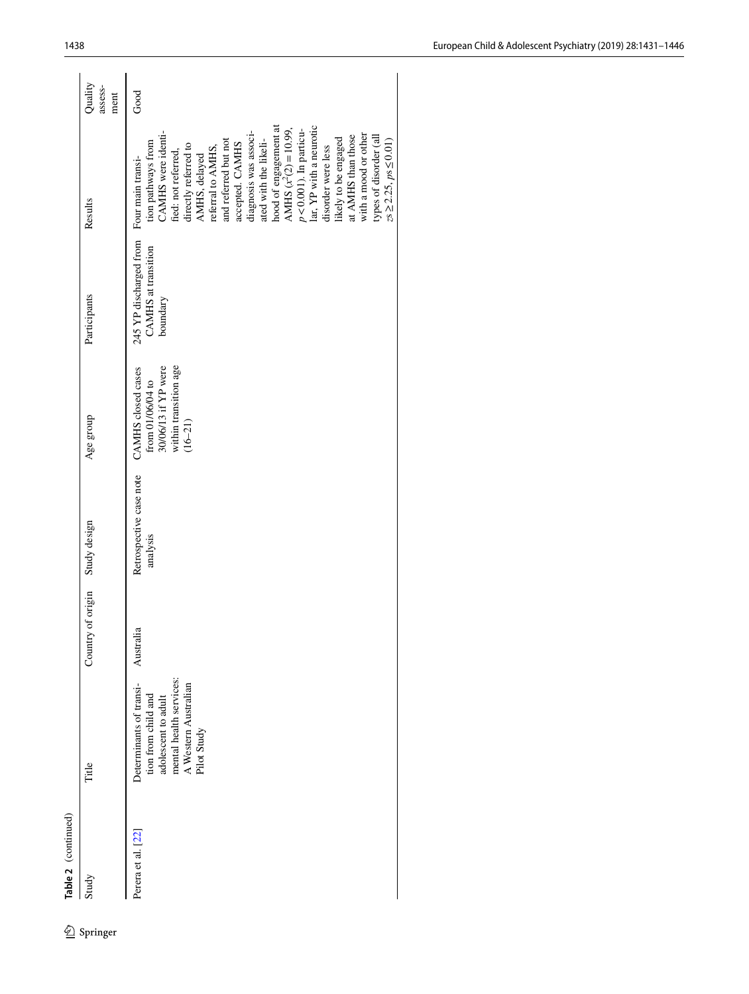| Australia<br>mental health services:<br>Determinants of transi-<br>A Western Australian<br>tion from child and<br>adolescent to adult<br>Pilot Study<br>Title<br>Perera et al. [22]<br>Study | Country of origin | Study design                        |                                                                                                       |                                                                  |                                                                                                                                                                                                                                                                                                                                                                                                                                                                                                                      |                            |
|----------------------------------------------------------------------------------------------------------------------------------------------------------------------------------------------|-------------------|-------------------------------------|-------------------------------------------------------------------------------------------------------|------------------------------------------------------------------|----------------------------------------------------------------------------------------------------------------------------------------------------------------------------------------------------------------------------------------------------------------------------------------------------------------------------------------------------------------------------------------------------------------------------------------------------------------------------------------------------------------------|----------------------------|
|                                                                                                                                                                                              |                   |                                     | Age group                                                                                             | Participants                                                     | Results                                                                                                                                                                                                                                                                                                                                                                                                                                                                                                              | Quality<br>assess-<br>ment |
|                                                                                                                                                                                              |                   | Retrospective case note<br>analysis | within transition age<br>30/06/13 if YP were<br>CAMHS closed cases<br>from 01/06/04 to<br>$(16 - 21)$ | 245 YP discharged from<br><b>CAMHS</b> at transition<br>boundary | hood of engagement at<br>lar, YP with a neurotic<br>AMHS $(x^2(2)=10.99$ ,<br>$p < 0.001$ ). In particu-<br>diagnosis was associ-<br>CAMHS were identi-<br>with a mood or other<br>at AMHS than those<br>types of disorder (all<br>likely to be engaged<br>ated with the likeli-<br>and referred but not<br>$zs \ge 2.25$ , $ps \le 0.01$ )<br>tion pathways from<br>accepted. CAMHS<br>directly referred to<br>disorder were less<br>referral to AMHS,<br>fied: not referred,<br>AMHS, delayed<br>Four main transi- | Good                       |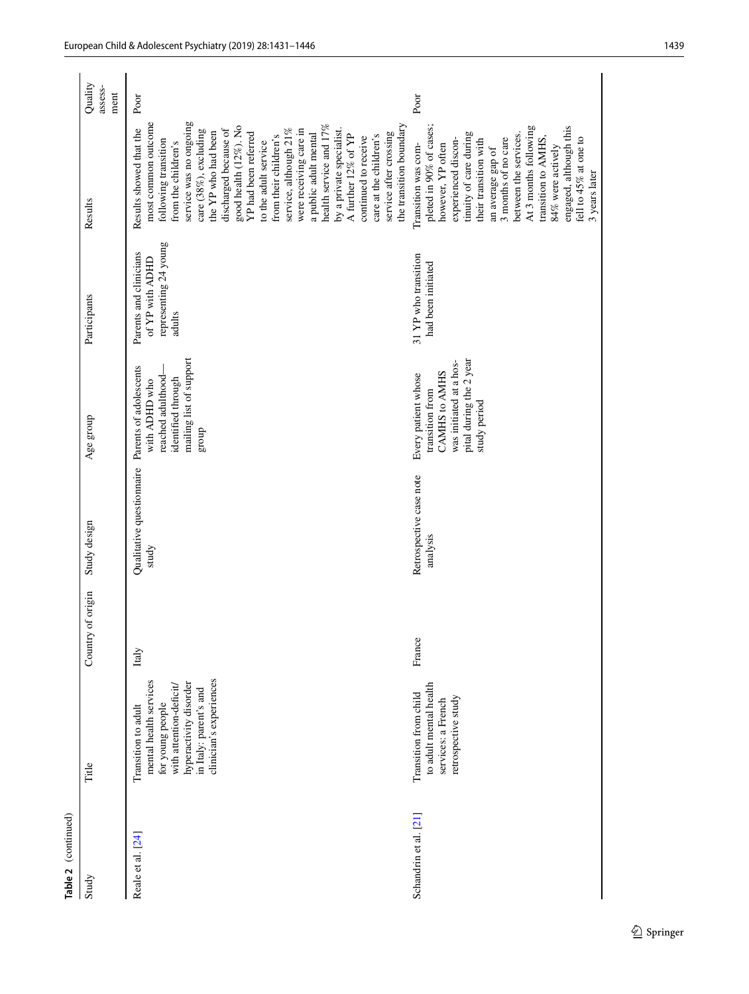| Table 2 (continued)   |                                                                                                                                                                             |                      |                                                           |                                                                                                                               |                                                                              |                                                                                                                                                                                                                                                                                                                                                                                                                                                                                                                                                                    |                            |
|-----------------------|-----------------------------------------------------------------------------------------------------------------------------------------------------------------------------|----------------------|-----------------------------------------------------------|-------------------------------------------------------------------------------------------------------------------------------|------------------------------------------------------------------------------|--------------------------------------------------------------------------------------------------------------------------------------------------------------------------------------------------------------------------------------------------------------------------------------------------------------------------------------------------------------------------------------------------------------------------------------------------------------------------------------------------------------------------------------------------------------------|----------------------------|
| Study                 | Title                                                                                                                                                                       | of origin<br>Country | Study design                                              | Age group                                                                                                                     | Participants                                                                 | Results                                                                                                                                                                                                                                                                                                                                                                                                                                                                                                                                                            | Quality<br>assess-<br>ment |
| Reale et al. [24]     | clinician's experiences<br>mental health services<br>hyperactivity disorder<br>with attention-deficit/<br>in Italy: parent's and<br>for young people<br>Transition to adult | Italy                | Qualitative questionnaire Parents of adolescents<br>study | mailing list of support<br>reached adulthood-<br>identified through<br>with ADHD who<br>group                                 | representing 24 young<br>Parents and clinicians<br>of YP with ADHD<br>adults | service was no ongoing<br>most common outcome<br>health service and 17%<br>the transition boundary<br>good health (12%). No<br>Results showed that the<br>discharged because of<br>service, although 21%<br>were receiving care in<br>by a private specialist.<br>care (38%), excluding<br>the YP who had been<br>service after crossing<br>YP had been referred<br>a public adult mental<br>A further 12% of YP<br>care at the children's<br>from their children's<br>continued to receive<br>following transition<br>to the adult service<br>from the children's | Poor                       |
| Schandrin et al. [21] | to adult mental health<br>Transition from child<br>retrospective study<br>services: a French                                                                                | France               | Retrospective case note<br>analysis                       | pital during the 2 year<br>was initiated at a hos-<br>CAMHS to AMHS<br>Every patient whose<br>transition from<br>study period | 31 YP who transition<br>had been initiated                                   | pleted in 90% of cases;<br>At 3 months following<br>engaged, although this<br>tinuity of care during<br>between the services.<br>transition to AMHS,<br>fell to 45% at one to<br>3 months of no care<br>experienced discon-<br>their transition with<br>however, YP often<br>Transition was com-<br>84% were actively<br>an average gap of<br>3 years later                                                                                                                                                                                                        | Poor                       |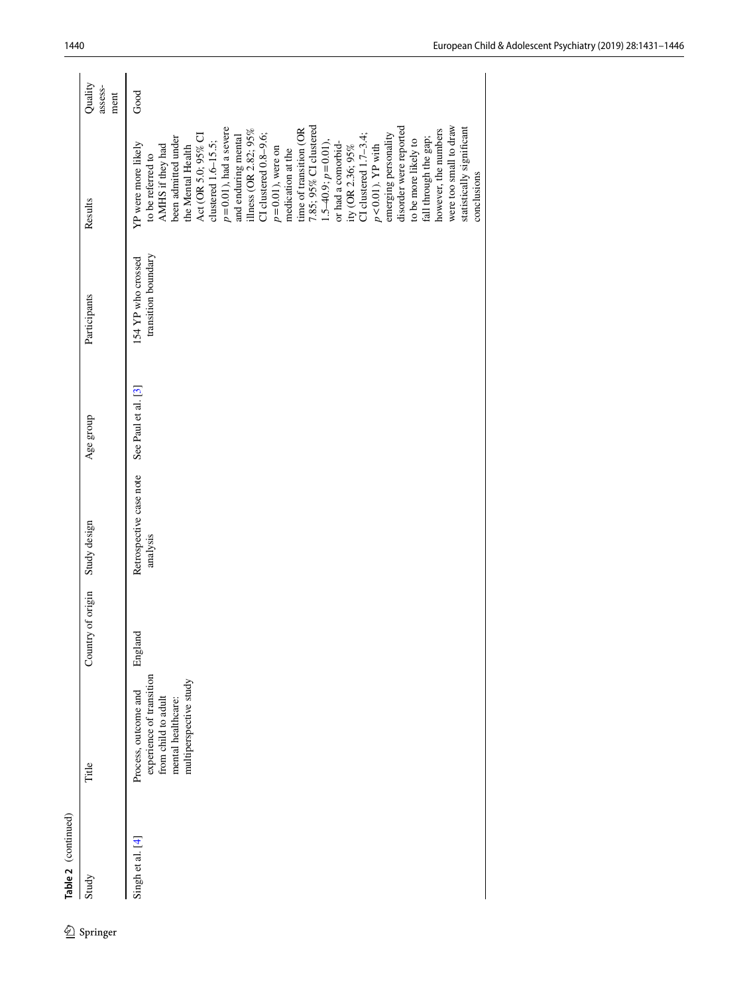| Study            |                          |                      |                         |                     |                     |                            |                            |
|------------------|--------------------------|----------------------|-------------------------|---------------------|---------------------|----------------------------|----------------------------|
|                  | Title                    | of origin<br>Country | Study design            | Age group           | Participants        | Results                    | Quality<br>assess-<br>ment |
| Singh et al. [4] | Process, outcome and     | England              | Retrospective case note | See Paul et al. [3] | 154 YP who crossed  | YP were more likely        | Good                       |
|                  | experience of transition |                      | analysis                |                     | transition boundary | to be referred to          |                            |
|                  | from child to adult      |                      |                         |                     |                     | AMHS if they had           |                            |
|                  | mental healthcare:       |                      |                         |                     |                     | been admitted under        |                            |
|                  | multiperspective study   |                      |                         |                     |                     | the Mental Health          |                            |
|                  |                          |                      |                         |                     |                     | Act (OR 5.0; 95% CI        |                            |
|                  |                          |                      |                         |                     |                     | clustered 1.6-15.5;        |                            |
|                  |                          |                      |                         |                     |                     | $p = 0.01$ ), had a severe |                            |
|                  |                          |                      |                         |                     |                     | and enduring mental        |                            |
|                  |                          |                      |                         |                     |                     | illness (OR 2.82; 95%      |                            |
|                  |                          |                      |                         |                     |                     | CI clustered $0.8-9.6$ ;   |                            |
|                  |                          |                      |                         |                     |                     | $p = 0.01$ ), were on      |                            |
|                  |                          |                      |                         |                     |                     | medication at the          |                            |
|                  |                          |                      |                         |                     |                     | time of transition (OR     |                            |
|                  |                          |                      |                         |                     |                     | 7.85; 95% CI clustered     |                            |
|                  |                          |                      |                         |                     |                     | $1.5-40.9; p=0.01$         |                            |
|                  |                          |                      |                         |                     |                     | or had a comorbid-         |                            |
|                  |                          |                      |                         |                     |                     | ity (OR 2.36; 95%          |                            |
|                  |                          |                      |                         |                     |                     | CI clustered 1.7-3.4;      |                            |
|                  |                          |                      |                         |                     |                     | $p < 0.01$ ). YP with      |                            |
|                  |                          |                      |                         |                     |                     | emerging personality       |                            |
|                  |                          |                      |                         |                     |                     | disorder were reported     |                            |
|                  |                          |                      |                         |                     |                     | to be more likely to       |                            |
|                  |                          |                      |                         |                     |                     | fall through the gap;      |                            |
|                  |                          |                      |                         |                     |                     | however, the numbers       |                            |
|                  |                          |                      |                         |                     |                     | were too small to draw     |                            |
|                  |                          |                      |                         |                     |                     | statistically significant  |                            |
|                  |                          |                      |                         |                     |                     | conclusions                |                            |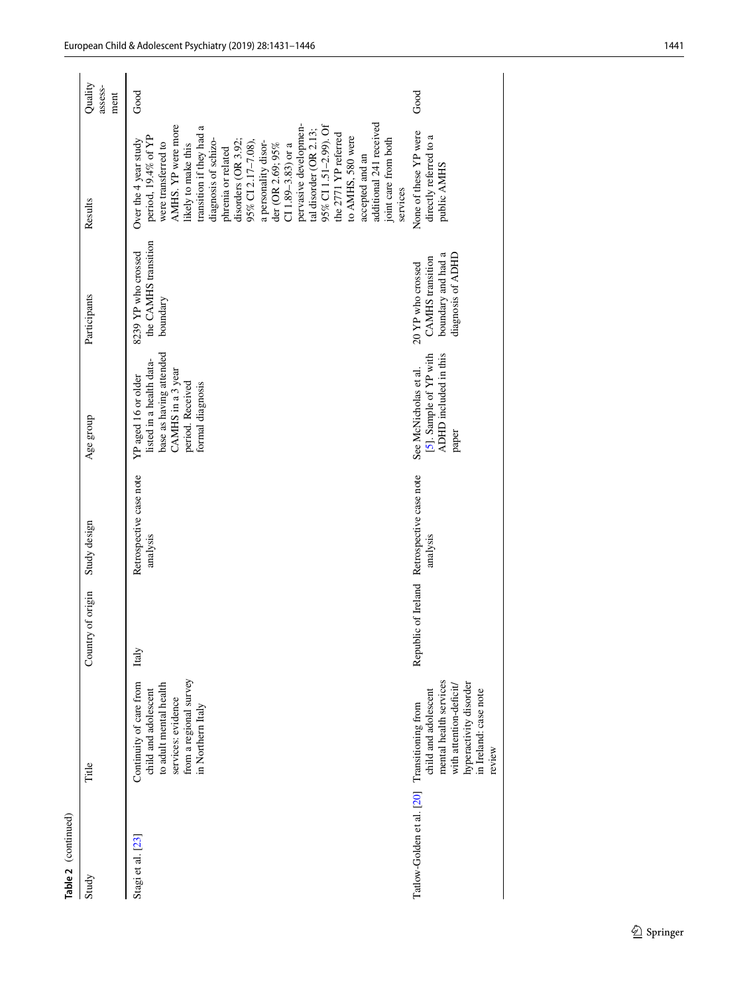| Table 2 (continued)       |                                                                                                                                                              |                      |                                                |                                                                                                                                         |                                                                                         |                                                                                                                                                                                                                                                                                                                                                                                                                                                                                                                             |                            |
|---------------------------|--------------------------------------------------------------------------------------------------------------------------------------------------------------|----------------------|------------------------------------------------|-----------------------------------------------------------------------------------------------------------------------------------------|-----------------------------------------------------------------------------------------|-----------------------------------------------------------------------------------------------------------------------------------------------------------------------------------------------------------------------------------------------------------------------------------------------------------------------------------------------------------------------------------------------------------------------------------------------------------------------------------------------------------------------------|----------------------------|
| Study                     | Title                                                                                                                                                        | of origin<br>Country | Study design                                   | Age group                                                                                                                               | Participants                                                                            | Results                                                                                                                                                                                                                                                                                                                                                                                                                                                                                                                     | Quality<br>assess-<br>ment |
| Stagi et al. [23]         | from a regional survey<br>Continuity of care from<br>to adult mental health<br>child and adolescent<br>services: evidence<br>in Northern Italy               | Italy                | Retrospective case note<br>analysis            | base as having attended<br>listed in a health data-<br>CAMHS in a 3 year<br>YP aged 16 or older<br>period. Received<br>formal diagnosis | the CAMHS transition<br>8239 YP who crossed<br>boundary                                 | additional 241 received<br>AMHS. YP were more<br>95% CI 1.51-2.99). Of<br>transition if they had a<br>pervasive developmen-<br>tal disorder (OR 2.13;<br>the 2771 YP referred<br>period, 19.4% of YP<br>to AMHS, 580 were<br>joint care from both<br>diagnosis of schizo-<br>disorders (OR 3.92;<br>Over the $4$ year study<br>were transferred to<br>a personality disor-<br>95% CI 2.17-7.08)<br>der (OR 2.69; 95%<br>likely to make this<br>CI $1.89 - 3.83$ ) or a<br>phrenia or related<br>accepted and an<br>services | Good                       |
| Tatlow-Golden et al. [20] | mental health services<br>hyperactivity disorder<br>with attention-deficit/<br>child and adolescent<br>in Ireland: case note<br>Transitioning from<br>review | Republic             | of Ireland Retrospective case note<br>analysis | [5]. Sample of YP with<br>ADHD included in this<br>See McNicholas et al.<br>paper                                                       | boundary and had a<br>diagnosis of ADHD<br><b>CAMHS</b> transition<br>20 YP who crossed | None of these YP were<br>directly referred to a<br>public AMHS                                                                                                                                                                                                                                                                                                                                                                                                                                                              | Good                       |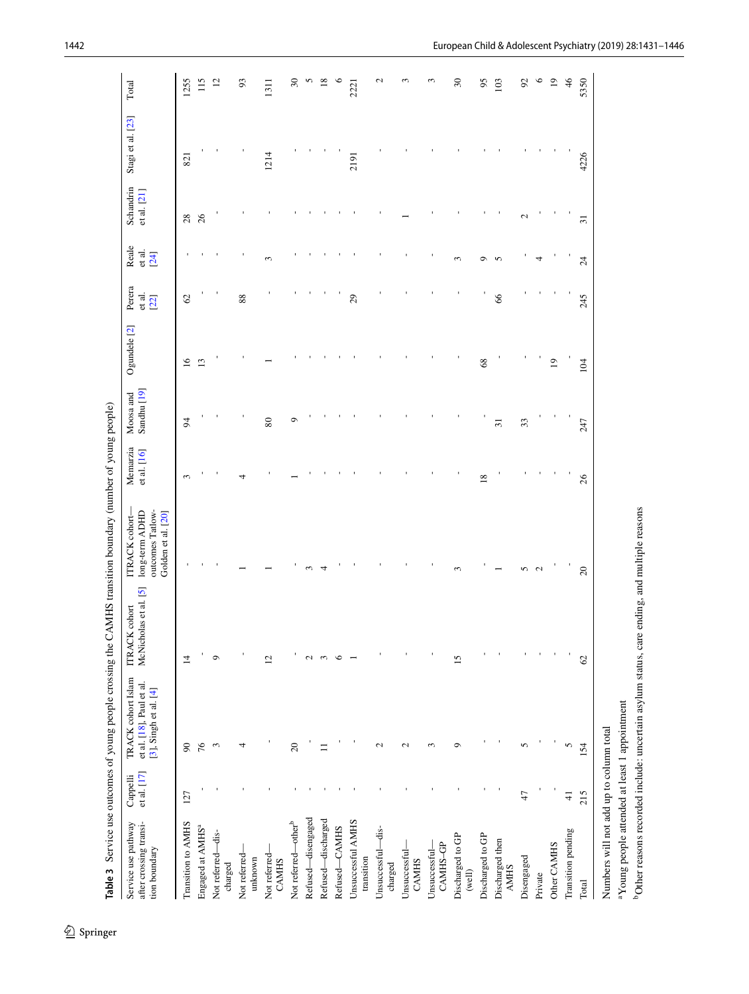| 127<br>Transition to AMHS           | [3], Singh et al. $[4]$<br>et al. [17] | et al. [18], Paul et al. | McNicholas et al. [5]<br><b>ITRACK</b> cohort | outcomes Tatlow-<br>long-term ADHD<br>ITRACK cohort- | et al. [16]             | Sandhu <sup>[19]</sup> | Ogundele <sup>[2]</sup> | Perera<br>et al.<br>[22] | Reale<br>et al.<br>[24] | Schandrin<br>et al. [21] | Stagi et al. [23] | Total                   |
|-------------------------------------|----------------------------------------|--------------------------|-----------------------------------------------|------------------------------------------------------|-------------------------|------------------------|-------------------------|--------------------------|-------------------------|--------------------------|-------------------|-------------------------|
|                                     |                                        |                          |                                               | Golden et al. [20]                                   |                         |                        |                         |                          |                         |                          |                   |                         |
|                                     | 90                                     |                          | $\overline{1}$                                |                                                      | $\sim$                  | 54                     | $\overline{16}$         | $\mathcal{O}$            |                         | 28                       | 821               | 1255                    |
| Engaged at AMHS <sup>a</sup>        | 76                                     |                          |                                               |                                                      |                         |                        | $\mathbf{r}$            |                          |                         | 26                       |                   | 115                     |
| Not referred-dis-<br>charged        | S                                      |                          | $\circ$                                       |                                                      |                         |                        |                         | J.                       |                         |                          |                   | $\overline{\mathbf{c}}$ |
| Vot referred-<br>unknown            | 4                                      |                          |                                               |                                                      |                         |                        |                         | 88                       |                         |                          |                   | 93                      |
| Not referred-<br><b>CAMHS</b>       |                                        |                          | $\overline{c}$                                |                                                      |                         | 80                     |                         |                          | ξ                       |                          | 1214              | 1311                    |
| Not referred—other <sup>b</sup>     | $20\,$                                 |                          |                                               |                                                      |                         | σ                      |                         |                          |                         |                          |                   | $30\,$                  |
| Refused-disengaged                  |                                        |                          | 2                                             |                                                      |                         |                        |                         |                          |                         |                          |                   | S                       |
| Refused-discharged                  | $\Xi$                                  |                          | 3                                             |                                                      |                         |                        |                         |                          |                         |                          |                   | $\overline{18}$         |
| Refused-CAMHS                       |                                        |                          | $\circ$                                       |                                                      |                         |                        |                         |                          |                         |                          |                   | ç                       |
| Jnsuccessful AMHS<br>transition     |                                        |                          |                                               |                                                      |                         |                        |                         | 29                       |                         |                          | 2191              | 2221                    |
| Jnsuccessful-dis-<br>charged        | $\mathbf{\sim}$                        |                          |                                               |                                                      |                         |                        |                         |                          |                         |                          |                   | $\mathbf{\sim}$         |
| Jnsuccessful<br><b>CAMHS</b>        | $\mathbf{\sim}$                        |                          |                                               |                                                      |                         |                        |                         |                          |                         |                          |                   | 3                       |
| CAMHS-GP<br>Unsuccessful-           | $\infty$                               |                          |                                               |                                                      |                         |                        |                         |                          |                         |                          |                   | S                       |
| Discharged to GP<br>(well)          | $\circ$                                |                          | 15                                            | 3                                                    |                         |                        |                         |                          | 3                       |                          |                   | $\sqrt{30}$             |
| Discharged to GP                    |                                        |                          |                                               |                                                      | $\overline{\mathbf{8}}$ |                        | 68                      |                          | െ                       |                          |                   | 95                      |
| Discharged then<br><b>AMHS</b>      |                                        |                          |                                               |                                                      |                         | $\overline{5}$         |                         | $\delta$                 | 5                       |                          |                   | 103                     |
| 47<br>Disengaged                    | 5                                      |                          |                                               | 5                                                    |                         | 33                     |                         |                          |                         | $\mathcal{L}$            |                   | 56                      |
| Private                             |                                        |                          |                                               | $\mathbf{C}$                                         |                         |                        |                         |                          | 4                       |                          |                   | $\circ$                 |
| Other CAMHS                         |                                        |                          |                                               |                                                      |                         |                        | $\overline{0}$          |                          |                         |                          |                   | $\overline{0}$          |
| $\frac{1}{4}$<br>Transition pending | 5                                      |                          |                                               |                                                      |                         |                        |                         |                          |                         |                          |                   | $\frac{4}{6}$           |
| 215<br><b>Cotal</b>                 | 154                                    |                          | ${\cal C}$                                    | $20\,$                                               | 26                      | 247                    | 104                     | 245                      | $\overline{24}$         | $\overline{31}$          | 4226              | 5350                    |

<span id="page-11-0"></span>Table 3 Service use outcomes of young people crossing the CAMHS transition boundary (number of young people) 1 3**Table 3** Service use outcomes of young people crossing the CAMHS transition boundary (number of young people)

bOther reasons recorded include: uncertain asylum status, care ending, and multiple reasons

<sup>b</sup>Other reasons recorded include: uncertain asylum status, care ending, and multiple reasons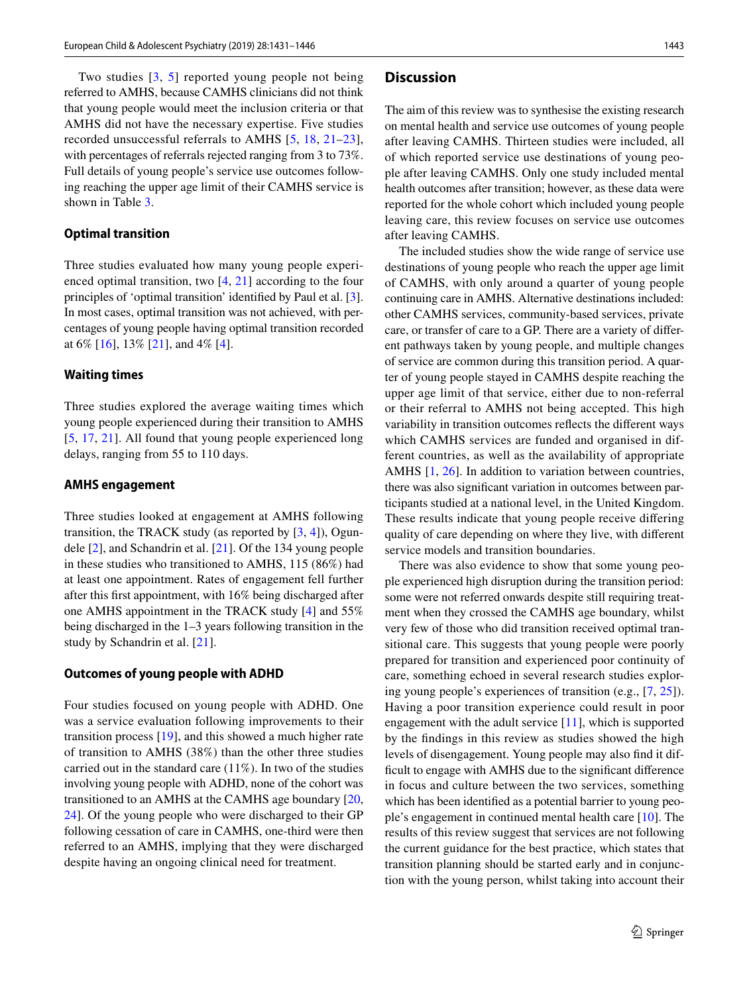Two studies [[3](#page-14-2), [5\]](#page-14-4) reported young people not being referred to AMHS, because CAMHS clinicians did not think that young people would meet the inclusion criteria or that AMHS did not have the necessary expertise. Five studies recorded unsuccessful referrals to AMHS [[5,](#page-14-4) [18,](#page-15-1) [21–](#page-15-4)[23](#page-15-6)], with percentages of referrals rejected ranging from 3 to 73%. Full details of young people's service use outcomes following reaching the upper age limit of their CAMHS service is shown in Table [3](#page-11-0).

#### **Optimal transition**

Three studies evaluated how many young people experienced optimal transition, two [[4,](#page-14-3) [21](#page-15-4)] according to the four principles of 'optimal transition' identifed by Paul et al. [\[3](#page-14-2)]. In most cases, optimal transition was not achieved, with percentages of young people having optimal transition recorded at 6% [\[16](#page-14-15)], 13% [[21](#page-15-4)], and 4% [[4\]](#page-14-3).

#### **Waiting times**

Three studies explored the average waiting times which young people experienced during their transition to AMHS [\[5,](#page-14-4) [17](#page-15-0), [21\]](#page-15-4). All found that young people experienced long delays, ranging from 55 to 110 days.

#### **AMHS engagement**

Three studies looked at engagement at AMHS following transition, the TRACK study (as reported by [\[3](#page-14-2), [4\]](#page-14-3)), Ogundele [\[2\]](#page-14-1), and Schandrin et al. [[21\]](#page-15-4). Of the 134 young people in these studies who transitioned to AMHS, 115 (86%) had at least one appointment. Rates of engagement fell further after this frst appointment, with 16% being discharged after one AMHS appointment in the TRACK study [\[4](#page-14-3)] and 55% being discharged in the 1–3 years following transition in the study by Schandrin et al. [\[21](#page-15-4)].

#### **Outcomes of young people with ADHD**

Four studies focused on young people with ADHD. One was a service evaluation following improvements to their transition process [[19](#page-15-2)], and this showed a much higher rate of transition to AMHS (38%) than the other three studies carried out in the standard care (11%). In two of the studies involving young people with ADHD, none of the cohort was transitioned to an AMHS at the CAMHS age boundary [[20,](#page-15-3) [24](#page-15-7)]. Of the young people who were discharged to their GP following cessation of care in CAMHS, one-third were then referred to an AMHS, implying that they were discharged despite having an ongoing clinical need for treatment.

## **Discussion**

The aim of this review was to synthesise the existing research on mental health and service use outcomes of young people after leaving CAMHS. Thirteen studies were included, all of which reported service use destinations of young people after leaving CAMHS. Only one study included mental health outcomes after transition; however, as these data were reported for the whole cohort which included young people leaving care, this review focuses on service use outcomes after leaving CAMHS.

The included studies show the wide range of service use destinations of young people who reach the upper age limit of CAMHS, with only around a quarter of young people continuing care in AMHS. Alternative destinations included: other CAMHS services, community-based services, private care, or transfer of care to a GP. There are a variety of diferent pathways taken by young people, and multiple changes of service are common during this transition period. A quarter of young people stayed in CAMHS despite reaching the upper age limit of that service, either due to non-referral or their referral to AMHS not being accepted. This high variability in transition outcomes refects the diferent ways which CAMHS services are funded and organised in different countries, as well as the availability of appropriate AMHS [[1,](#page-14-0) [26](#page-15-8)]. In addition to variation between countries, there was also signifcant variation in outcomes between participants studied at a national level, in the United Kingdom. These results indicate that young people receive difering quality of care depending on where they live, with diferent service models and transition boundaries.

There was also evidence to show that some young people experienced high disruption during the transition period: some were not referred onwards despite still requiring treatment when they crossed the CAMHS age boundary, whilst very few of those who did transition received optimal transitional care. This suggests that young people were poorly prepared for transition and experienced poor continuity of care, something echoed in several research studies exploring young people's experiences of transition (e.g., [[7,](#page-14-6) [25\]](#page-15-9)). Having a poor transition experience could result in poor engagement with the adult service [[11\]](#page-14-10), which is supported by the fndings in this review as studies showed the high levels of disengagement. Young people may also fnd it diffcult to engage with AMHS due to the signifcant diference in focus and culture between the two services, something which has been identifed as a potential barrier to young people's engagement in continued mental health care [\[10](#page-14-9)]. The results of this review suggest that services are not following the current guidance for the best practice, which states that transition planning should be started early and in conjunction with the young person, whilst taking into account their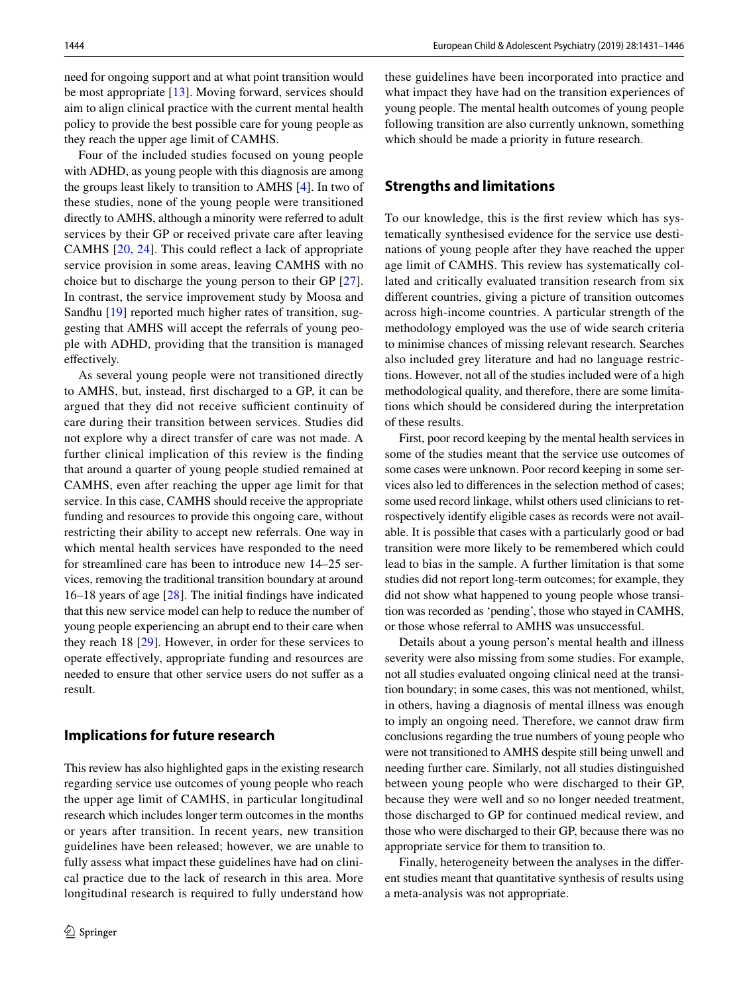need for ongoing support and at what point transition would be most appropriate [\[13](#page-14-12)]. Moving forward, services should aim to align clinical practice with the current mental health policy to provide the best possible care for young people as they reach the upper age limit of CAMHS.

Four of the included studies focused on young people with ADHD, as young people with this diagnosis are among the groups least likely to transition to AMHS [[4\]](#page-14-3). In two of these studies, none of the young people were transitioned directly to AMHS, although a minority were referred to adult services by their GP or received private care after leaving CAMHS [\[20,](#page-15-3) [24](#page-15-7)]. This could refect a lack of appropriate service provision in some areas, leaving CAMHS with no choice but to discharge the young person to their GP [\[27](#page-15-10)]. In contrast, the service improvement study by Moosa and Sandhu [[19\]](#page-15-2) reported much higher rates of transition, suggesting that AMHS will accept the referrals of young people with ADHD, providing that the transition is managed effectively.

As several young people were not transitioned directly to AMHS, but, instead, frst discharged to a GP, it can be argued that they did not receive sufficient continuity of care during their transition between services. Studies did not explore why a direct transfer of care was not made. A further clinical implication of this review is the fnding that around a quarter of young people studied remained at CAMHS, even after reaching the upper age limit for that service. In this case, CAMHS should receive the appropriate funding and resources to provide this ongoing care, without restricting their ability to accept new referrals. One way in which mental health services have responded to the need for streamlined care has been to introduce new 14–25 services, removing the traditional transition boundary at around 16–18 years of age  $[28]$  $[28]$ . The initial findings have indicated that this new service model can help to reduce the number of young people experiencing an abrupt end to their care when they reach 18 [\[29](#page-15-12)]. However, in order for these services to operate efectively, appropriate funding and resources are needed to ensure that other service users do not sufer as a result.

## **Implications for future research**

This review has also highlighted gaps in the existing research regarding service use outcomes of young people who reach the upper age limit of CAMHS, in particular longitudinal research which includes longer term outcomes in the months or years after transition. In recent years, new transition guidelines have been released; however, we are unable to fully assess what impact these guidelines have had on clinical practice due to the lack of research in this area. More longitudinal research is required to fully understand how these guidelines have been incorporated into practice and what impact they have had on the transition experiences of young people. The mental health outcomes of young people following transition are also currently unknown, something which should be made a priority in future research.

## **Strengths and limitations**

To our knowledge, this is the frst review which has systematically synthesised evidence for the service use destinations of young people after they have reached the upper age limit of CAMHS. This review has systematically collated and critically evaluated transition research from six diferent countries, giving a picture of transition outcomes across high-income countries. A particular strength of the methodology employed was the use of wide search criteria to minimise chances of missing relevant research. Searches also included grey literature and had no language restrictions. However, not all of the studies included were of a high methodological quality, and therefore, there are some limitations which should be considered during the interpretation of these results.

First, poor record keeping by the mental health services in some of the studies meant that the service use outcomes of some cases were unknown. Poor record keeping in some services also led to diferences in the selection method of cases; some used record linkage, whilst others used clinicians to retrospectively identify eligible cases as records were not available. It is possible that cases with a particularly good or bad transition were more likely to be remembered which could lead to bias in the sample. A further limitation is that some studies did not report long-term outcomes; for example, they did not show what happened to young people whose transition was recorded as 'pending', those who stayed in CAMHS, or those whose referral to AMHS was unsuccessful.

Details about a young person's mental health and illness severity were also missing from some studies. For example, not all studies evaluated ongoing clinical need at the transition boundary; in some cases, this was not mentioned, whilst, in others, having a diagnosis of mental illness was enough to imply an ongoing need. Therefore, we cannot draw frm conclusions regarding the true numbers of young people who were not transitioned to AMHS despite still being unwell and needing further care. Similarly, not all studies distinguished between young people who were discharged to their GP, because they were well and so no longer needed treatment, those discharged to GP for continued medical review, and those who were discharged to their GP, because there was no appropriate service for them to transition to.

Finally, heterogeneity between the analyses in the diferent studies meant that quantitative synthesis of results using a meta-analysis was not appropriate.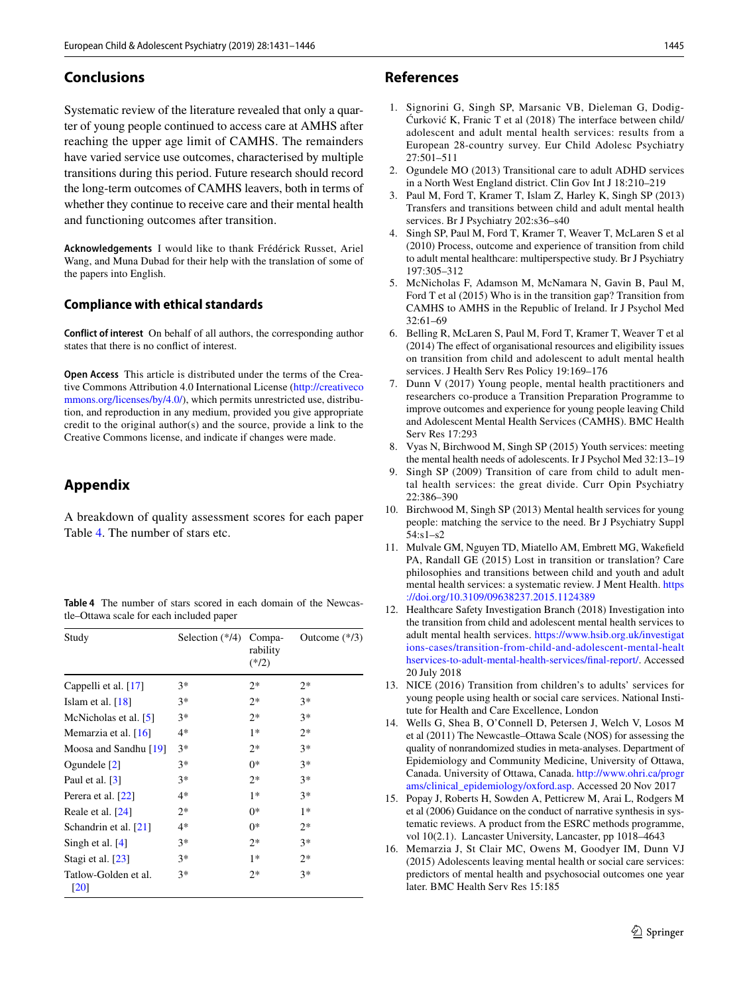## **Conclusions**

Systematic review of the literature revealed that only a quarter of young people continued to access care at AMHS after reaching the upper age limit of CAMHS. The remainders have varied service use outcomes, characterised by multiple transitions during this period. Future research should record the long-term outcomes of CAMHS leavers, both in terms of whether they continue to receive care and their mental health and functioning outcomes after transition.

**Acknowledgements** I would like to thank Frédérick Russet, Ariel Wang, and Muna Dubad for their help with the translation of some of the papers into English.

## **Compliance with ethical standards**

**Conflict of interest** On behalf of all authors, the corresponding author states that there is no confict of interest.

**Open Access** This article is distributed under the terms of the Creative Commons Attribution 4.0 International License [\(http://creativeco](http://creativecommons.org/licenses/by/4.0/) [mmons.org/licenses/by/4.0/](http://creativecommons.org/licenses/by/4.0/)), which permits unrestricted use, distribution, and reproduction in any medium, provided you give appropriate credit to the original author(s) and the source, provide a link to the Creative Commons license, and indicate if changes were made.

# **Appendix**

A breakdown of quality assessment scores for each paper Table [4](#page-14-16). The number of stars etc.

<span id="page-14-16"></span>**Table 4** The number of stars scored in each domain of the Newcastle–Ottawa scale for each included paper

| Study                                      | Selection (*/4) Compa- | rability<br>$(*/2)$ | Outcome $(*/3)$ |
|--------------------------------------------|------------------------|---------------------|-----------------|
| Cappelli et al. [17]                       | $3*$                   | $2*$                | $2*$            |
| Islam et al. $[18]$                        | $3*$                   | $2*$                | $3*$            |
| McNicholas et al. [5]                      | $3*$                   | $2*$                | $3*$            |
| Memarzia et al. $[16]$                     | 4*                     | $1*$                | $2*$            |
| Moosa and Sandhu [19]                      | $3*$                   | $2*$                | $3*$            |
| Ogundele $[2]$                             | $3*$                   | $0*$                | $3*$            |
| Paul et al. $[3]$                          | $3*$                   | $2*$                | $3*$            |
| Perera et al. [22]                         | 4*                     | $1*$                | $3*$            |
| Reale et al. [24]                          | $2*$                   | $0*$                | $1*$            |
| Schandrin et al. [21]                      | 4*                     | $0*$                | $2*$            |
| Singh et al. $[4]$                         | $3*$                   | $2*$                | $3*$            |
| Stagi et al. [23]                          | $3*$                   | $1*$                | $2*$            |
| Tatlow-Golden et al.<br>$\lceil 20 \rceil$ | $3*$                   | $2*$                | $3*$            |

#### **References**

- <span id="page-14-0"></span>1. Signorini G, Singh SP, Marsanic VB, Dieleman G, Dodig-Ćurković K, Franic T et al (2018) The interface between child/ adolescent and adult mental health services: results from a European 28-country survey. Eur Child Adolesc Psychiatry 27:501–511
- <span id="page-14-1"></span>2. Ogundele MO (2013) Transitional care to adult ADHD services in a North West England district. Clin Gov Int J 18:210–219
- <span id="page-14-2"></span>3. Paul M, Ford T, Kramer T, Islam Z, Harley K, Singh SP (2013) Transfers and transitions between child and adult mental health services. Br J Psychiatry 202:s36–s40
- <span id="page-14-3"></span>4. Singh SP, Paul M, Ford T, Kramer T, Weaver T, McLaren S et al (2010) Process, outcome and experience of transition from child to adult mental healthcare: multiperspective study. Br J Psychiatry 197:305–312
- <span id="page-14-4"></span>5. McNicholas F, Adamson M, McNamara N, Gavin B, Paul M, Ford T et al (2015) Who is in the transition gap? Transition from CAMHS to AMHS in the Republic of Ireland. Ir J Psychol Med 32:61–69
- <span id="page-14-5"></span>6. Belling R, McLaren S, Paul M, Ford T, Kramer T, Weaver T et al (2014) The effect of organisational resources and eligibility issues on transition from child and adolescent to adult mental health services. J Health Serv Res Policy 19:169–176
- <span id="page-14-6"></span>7. Dunn V (2017) Young people, mental health practitioners and researchers co-produce a Transition Preparation Programme to improve outcomes and experience for young people leaving Child and Adolescent Mental Health Services (CAMHS). BMC Health Serv Res 17:293
- <span id="page-14-7"></span>8. Vyas N, Birchwood M, Singh SP (2015) Youth services: meeting the mental health needs of adolescents. Ir J Psychol Med 32:13–19
- <span id="page-14-8"></span>9. Singh SP (2009) Transition of care from child to adult mental health services: the great divide. Curr Opin Psychiatry 22:386–390
- <span id="page-14-9"></span>10. Birchwood M, Singh SP (2013) Mental health services for young people: matching the service to the need. Br J Psychiatry Suppl 54:s1–s2
- <span id="page-14-10"></span>11. Mulvale GM, Nguyen TD, Miatello AM, Embrett MG, Wakefeld PA, Randall GE (2015) Lost in transition or translation? Care philosophies and transitions between child and youth and adult mental health services: a systematic review. J Ment Health. [https](https://doi.org/10.3109/09638237.2015.1124389) [://doi.org/10.3109/09638237.2015.1124389](https://doi.org/10.3109/09638237.2015.1124389)
- <span id="page-14-11"></span>12. Healthcare Safety Investigation Branch (2018) Investigation into the transition from child and adolescent mental health services to adult mental health services. [https://www.hsib.org.uk/investigat](https://www.hsib.org.uk/investigations-cases/transition-from-child-and-adolescent-mental-healthservices-to-adult-mental-health-services/final-report/) [ions-cases/transition-from-child-and-adolescent-mental-healt](https://www.hsib.org.uk/investigations-cases/transition-from-child-and-adolescent-mental-healthservices-to-adult-mental-health-services/final-report/) [hservices-to-adult-mental-health-services/fnal-report/](https://www.hsib.org.uk/investigations-cases/transition-from-child-and-adolescent-mental-healthservices-to-adult-mental-health-services/final-report/). Accessed 20 July 2018
- <span id="page-14-12"></span>13. NICE (2016) Transition from children's to adults' services for young people using health or social care services. National Institute for Health and Care Excellence, London
- <span id="page-14-13"></span>14. Wells G, Shea B, O'Connell D, Petersen J, Welch V, Losos M et al (2011) The Newcastle–Ottawa Scale (NOS) for assessing the quality of nonrandomized studies in meta-analyses. Department of Epidemiology and Community Medicine, University of Ottawa, Canada. University of Ottawa, Canada. [http://www.ohri.ca/progr](http://www.ohri.ca/programs/clinical_epidemiology/oxford.asp) [ams/clinical\\_epidemiology/oxford.asp.](http://www.ohri.ca/programs/clinical_epidemiology/oxford.asp) Accessed 20 Nov 2017
- <span id="page-14-14"></span>15. Popay J, Roberts H, Sowden A, Petticrew M, Arai L, Rodgers M et al (2006) Guidance on the conduct of narrative synthesis in systematic reviews. A product from the ESRC methods programme, vol 10(2.1). Lancaster University, Lancaster, pp 1018–4643
- <span id="page-14-15"></span>16. Memarzia J, St Clair MC, Owens M, Goodyer IM, Dunn VJ (2015) Adolescents leaving mental health or social care services: predictors of mental health and psychosocial outcomes one year later. BMC Health Serv Res 15:185